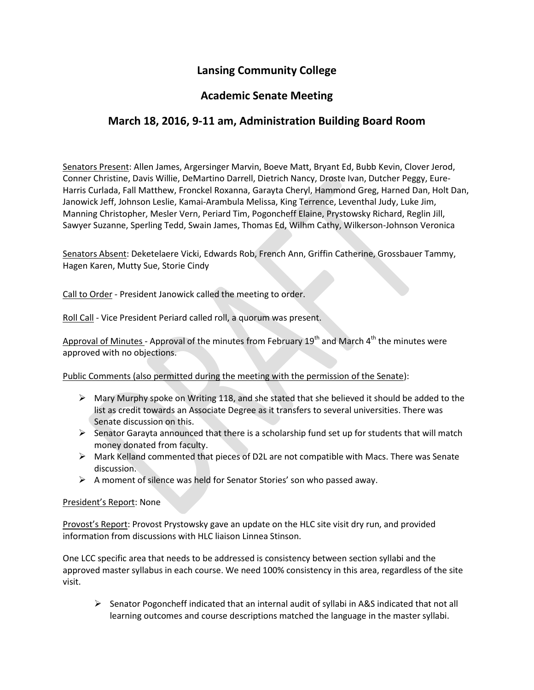# **Lansing Community College**

### **Academic Senate Meeting**

# **March 18, 2016, 9-11 am, Administration Building Board Room**

Senators Present: Allen James, Argersinger Marvin, Boeve Matt, Bryant Ed, Bubb Kevin, Clover Jerod, Conner Christine, Davis Willie, DeMartino Darrell, Dietrich Nancy, Droste Ivan, Dutcher Peggy, Eure-Harris Curlada, Fall Matthew, Fronckel Roxanna, Garayta Cheryl, Hammond Greg, Harned Dan, Holt Dan, Janowick Jeff, Johnson Leslie, Kamai-Arambula Melissa, King Terrence, Leventhal Judy, Luke Jim, Manning Christopher, Mesler Vern, Periard Tim, Pogoncheff Elaine, Prystowsky Richard, Reglin Jill, Sawyer Suzanne, Sperling Tedd, Swain James, Thomas Ed, Wilhm Cathy, Wilkerson-Johnson Veronica

Senators Absent: Deketelaere Vicki, Edwards Rob, French Ann, Griffin Catherine, Grossbauer Tammy, Hagen Karen, Mutty Sue, Storie Cindy

Call to Order - President Janowick called the meeting to order.

Roll Call - Vice President Periard called roll, a quorum was present.

Approval of Minutes - Approval of the minutes from February  $19<sup>th</sup>$  and March  $4<sup>th</sup>$  the minutes were approved with no objections.

Public Comments (also permitted during the meeting with the permission of the Senate):

- $\triangleright$  Mary Murphy spoke on Writing 118, and she stated that she believed it should be added to the list as credit towards an Associate Degree as it transfers to several universities. There was Senate discussion on this.
- $\triangleright$  Senator Garayta announced that there is a scholarship fund set up for students that will match money donated from faculty.
- $\triangleright$  Mark Kelland commented that pieces of D2L are not compatible with Macs. There was Senate discussion.
- $\triangleright$  A moment of silence was held for Senator Stories' son who passed away.

#### President's Report: None

Provost's Report: Provost Prystowsky gave an update on the HLC site visit dry run, and provided information from discussions with HLC liaison Linnea Stinson.

One LCC specific area that needs to be addressed is consistency between section syllabi and the approved master syllabus in each course. We need 100% consistency in this area, regardless of the site visit.

 $\triangleright$  Senator Pogoncheff indicated that an internal audit of syllabi in A&S indicated that not all learning outcomes and course descriptions matched the language in the master syllabi.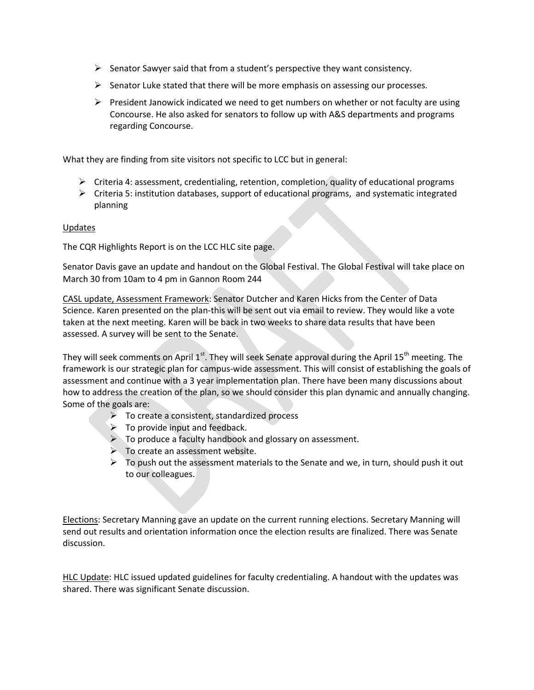- $\triangleright$  Senator Sawyer said that from a student's perspective they want consistency.
- $\triangleright$  Senator Luke stated that there will be more emphasis on assessing our processes.
- $\triangleright$  President Janowick indicated we need to get numbers on whether or not faculty are using Concourse. He also asked for senators to follow up with A&S departments and programs regarding Concourse.

What they are finding from site visitors not specific to LCC but in general:

- $\triangleright$  Criteria 4: assessment, credentialing, retention, completion, quality of educational programs
- $\triangleright$  Criteria 5: institution databases, support of educational programs, and systematic integrated planning

### Updates

The CQR Highlights Report is on the LCC HLC site page.

Senator Davis gave an update and handout on the Global Festival. The Global Festival will take place on March 30 from 10am to 4 pm in Gannon Room 244

CASL update, Assessment Framework: Senator Dutcher and Karen Hicks from the Center of Data Science. Karen presented on the plan-this will be sent out via email to review. They would like a vote taken at the next meeting. Karen will be back in two weeks to share data results that have been assessed. A survey will be sent to the Senate.

They will seek comments on April  $1^{st}$ . They will seek Senate approval during the April 15<sup>th</sup> meeting. The framework is our strategic plan for campus-wide assessment. This will consist of establishing the goals of assessment and continue with a 3 year implementation plan. There have been many discussions about how to address the creation of the plan, so we should consider this plan dynamic and annually changing. Some of the goals are:

- $\triangleright$  To create a consistent, standardized process
- $\triangleright$  To provide input and feedback.
- $\triangleright$  To produce a faculty handbook and glossary on assessment.
- $\triangleright$  To create an assessment website.
- $\triangleright$  To push out the assessment materials to the Senate and we, in turn, should push it out to our colleagues.

Elections: Secretary Manning gave an update on the current running elections. Secretary Manning will send out results and orientation information once the election results are finalized. There was Senate discussion.

HLC Update: HLC issued updated guidelines for faculty credentialing. A handout with the updates was shared. There was significant Senate discussion.